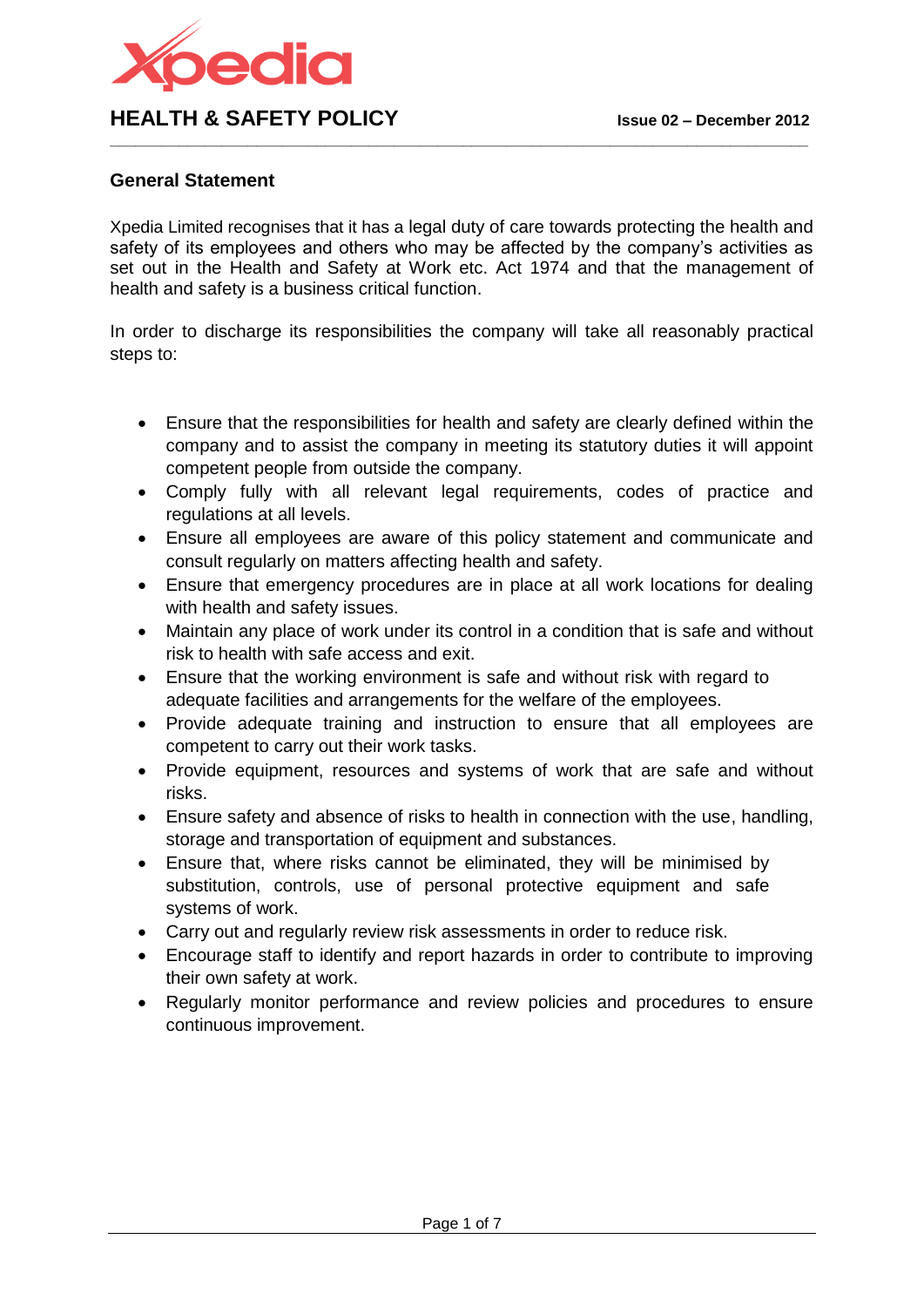

# **General Statement**

Xpedia Limited recognises that it has a legal duty of care towards protecting the health and safety of its employees and others who may be affected by the company's activities as set out in the Health and Safety at Work etc. Act 1974 and that the management of health and safety is a business critical function.

**\_\_\_\_\_\_\_\_\_\_\_\_\_\_\_\_\_\_\_\_\_\_\_\_\_\_\_\_\_\_\_\_\_\_\_\_\_\_\_\_\_\_\_\_\_\_\_\_\_\_\_\_\_\_\_\_\_\_\_\_\_\_\_\_\_\_\_\_\_\_\_\_\_\_\_\_\_\_\_\_\_**

In order to discharge its responsibilities the company will take all reasonably practical steps to:

- Ensure that the responsibilities for health and safety are clearly defined within the company and to assist the company in meeting its statutory duties it will appoint competent people from outside the company.
- Comply fully with all relevant legal requirements, codes of practice and regulations at all levels.
- Ensure all employees are aware of this policy statement and communicate and consult regularly on matters affecting health and safety.
- Ensure that emergency procedures are in place at all work locations for dealing with health and safety issues.
- Maintain any place of work under its control in a condition that is safe and without risk to health with safe access and exit.
- Ensure that the working environment is safe and without risk with regard to adequate facilities and arrangements for the welfare of the employees.
- Provide adequate training and instruction to ensure that all employees are competent to carry out their work tasks.
- Provide equipment, resources and systems of work that are safe and without risks.
- Ensure safety and absence of risks to health in connection with the use, handling, storage and transportation of equipment and substances.
- Ensure that, where risks cannot be eliminated, they will be minimised by substitution, controls, use of personal protective equipment and safe systems of work.
- Carry out and regularly review risk assessments in order to reduce risk.
- Encourage staff to identify and report hazards in order to contribute to improving their own safety at work.
- Regularly monitor performance and review policies and procedures to ensure continuous improvement.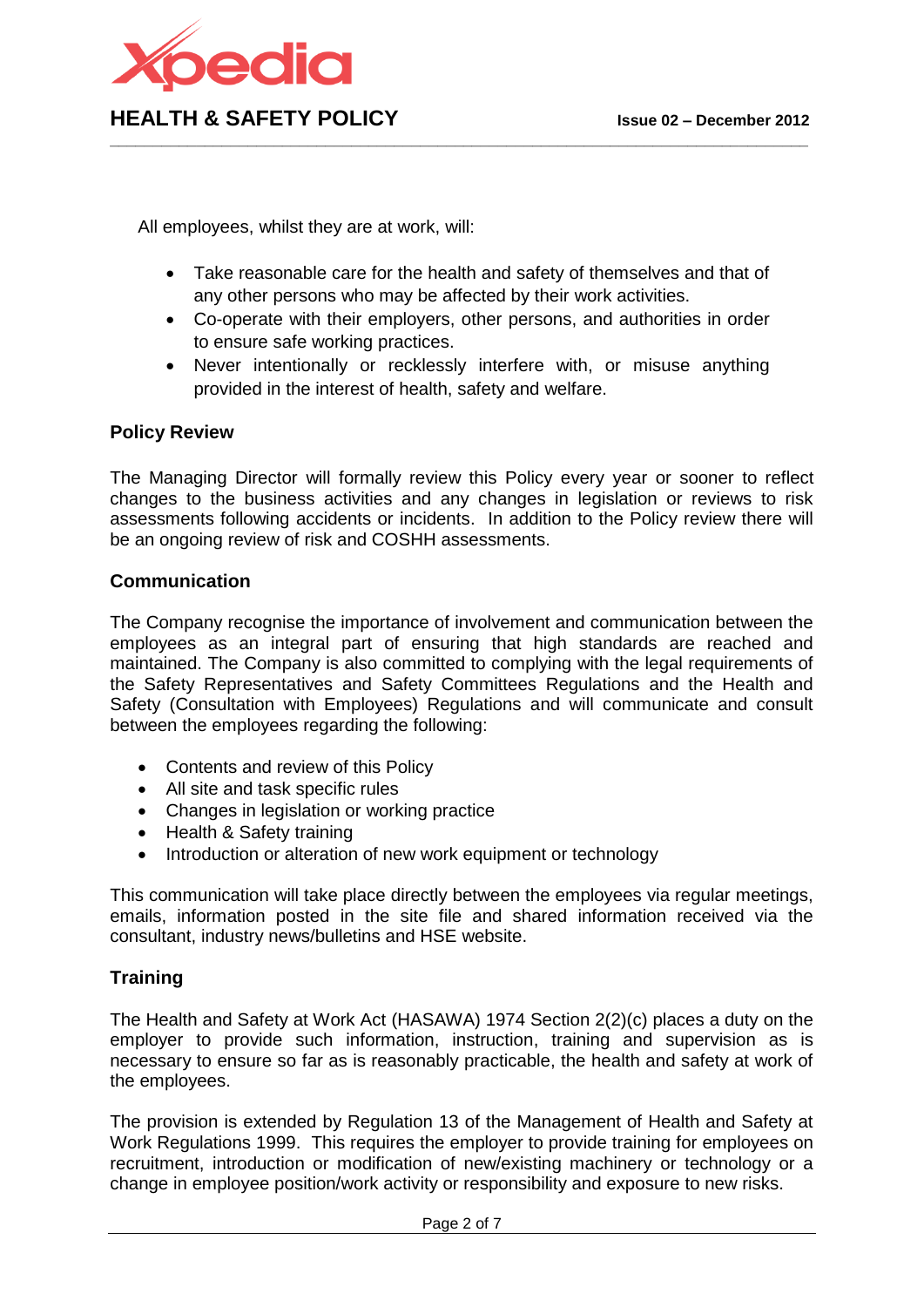

All employees, whilst they are at work, will:

 Take reasonable care for the health and safety of themselves and that of any other persons who may be affected by their work activities.

**\_\_\_\_\_\_\_\_\_\_\_\_\_\_\_\_\_\_\_\_\_\_\_\_\_\_\_\_\_\_\_\_\_\_\_\_\_\_\_\_\_\_\_\_\_\_\_\_\_\_\_\_\_\_\_\_\_\_\_\_\_\_\_\_\_\_\_\_\_\_\_\_\_\_\_\_\_\_\_\_\_**

- Co-operate with their employers, other persons, and authorities in order to ensure safe working practices.
- Never intentionally or recklessly interfere with, or misuse anything provided in the interest of health, safety and welfare.

### **Policy Review**

The Managing Director will formally review this Policy every year or sooner to reflect changes to the business activities and any changes in legislation or reviews to risk assessments following accidents or incidents. In addition to the Policy review there will be an ongoing review of risk and COSHH assessments.

### **Communication**

The Company recognise the importance of involvement and communication between the employees as an integral part of ensuring that high standards are reached and maintained. The Company is also committed to complying with the legal requirements of the Safety Representatives and Safety Committees Regulations and the Health and Safety (Consultation with Employees) Regulations and will communicate and consult between the employees regarding the following:

- Contents and review of this Policy
- All site and task specific rules
- Changes in legislation or working practice
- Health & Safety training
- Introduction or alteration of new work equipment or technology

This communication will take place directly between the employees via regular meetings, emails, information posted in the site file and shared information received via the consultant, industry news/bulletins and HSE website.

# **Training**

The Health and Safety at Work Act (HASAWA) 1974 Section 2(2)(c) places a duty on the employer to provide such information, instruction, training and supervision as is necessary to ensure so far as is reasonably practicable, the health and safety at work of the employees.

The provision is extended by Regulation 13 of the Management of Health and Safety at Work Regulations 1999. This requires the employer to provide training for employees on recruitment, introduction or modification of new/existing machinery or technology or a change in employee position/work activity or responsibility and exposure to new risks.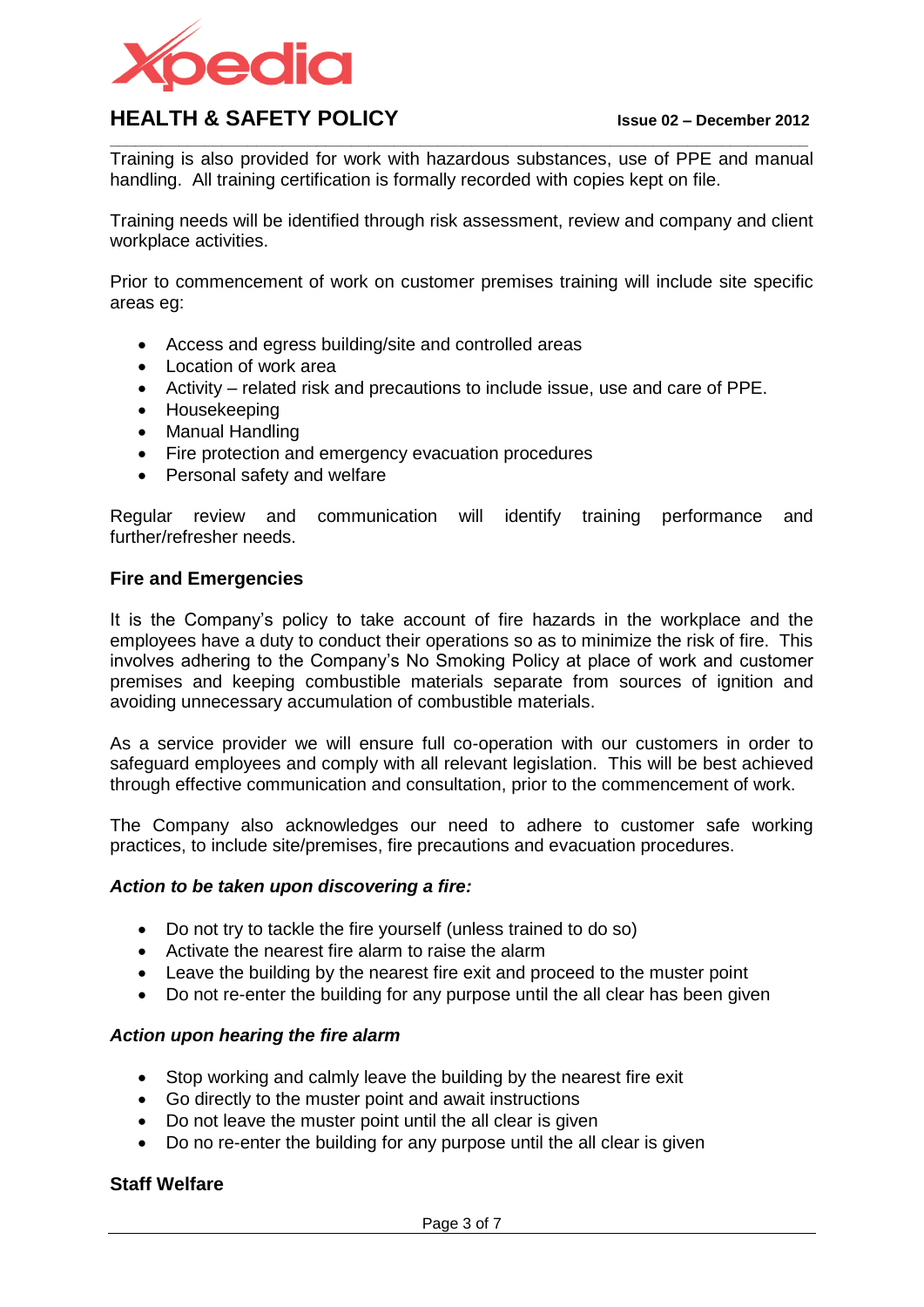

**\_\_\_\_\_\_\_\_\_\_\_\_\_\_\_\_\_\_\_\_\_\_\_\_\_\_\_\_\_\_\_\_\_\_\_\_\_\_\_\_\_\_\_\_\_\_\_\_\_\_\_\_\_\_\_\_\_\_\_\_\_\_\_\_\_\_\_\_\_\_\_\_\_\_\_\_\_\_\_\_\_** Training is also provided for work with hazardous substances, use of PPE and manual handling. All training certification is formally recorded with copies kept on file.

Training needs will be identified through risk assessment, review and company and client workplace activities.

Prior to commencement of work on customer premises training will include site specific areas eg:

- Access and egress building/site and controlled areas
- Location of work area
- Activity related risk and precautions to include issue, use and care of PPE.
- Housekeeping
- Manual Handling
- Fire protection and emergency evacuation procedures
- Personal safety and welfare

Regular review and communication will identify training performance and further/refresher needs.

#### **Fire and Emergencies**

It is the Company's policy to take account of fire hazards in the workplace and the employees have a duty to conduct their operations so as to minimize the risk of fire. This involves adhering to the Company's No Smoking Policy at place of work and customer premises and keeping combustible materials separate from sources of ignition and avoiding unnecessary accumulation of combustible materials.

As a service provider we will ensure full co-operation with our customers in order to safeguard employees and comply with all relevant legislation. This will be best achieved through effective communication and consultation, prior to the commencement of work.

The Company also acknowledges our need to adhere to customer safe working practices, to include site/premises, fire precautions and evacuation procedures.

#### *Action to be taken upon discovering a fire:*

- Do not try to tackle the fire yourself (unless trained to do so)
- Activate the nearest fire alarm to raise the alarm
- Leave the building by the nearest fire exit and proceed to the muster point
- Do not re-enter the building for any purpose until the all clear has been given

#### *Action upon hearing the fire alarm*

- Stop working and calmly leave the building by the nearest fire exit
- Go directly to the muster point and await instructions
- Do not leave the muster point until the all clear is given
- Do no re-enter the building for any purpose until the all clear is given

# **Staff Welfare**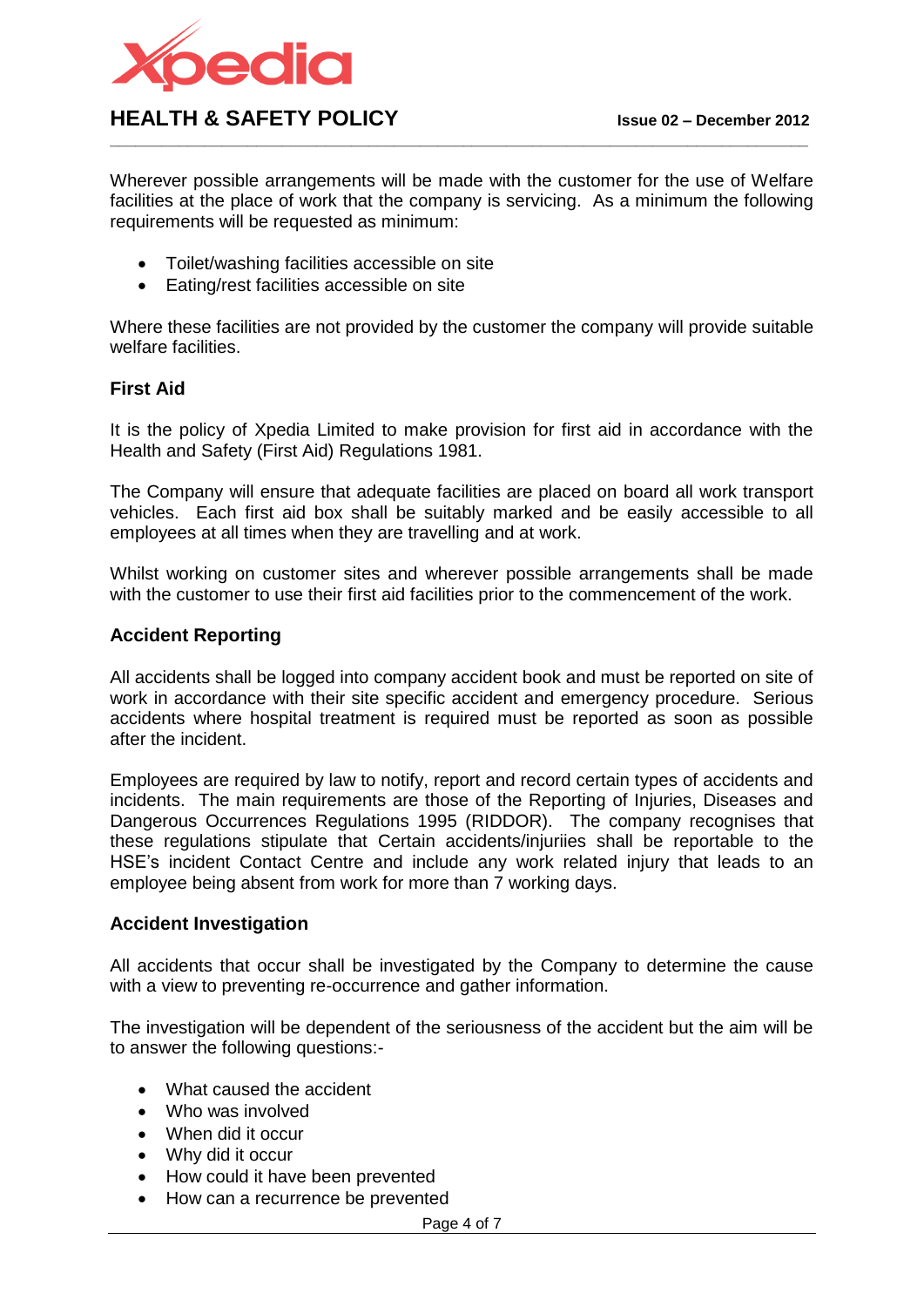

Wherever possible arrangements will be made with the customer for the use of Welfare facilities at the place of work that the company is servicing. As a minimum the following requirements will be requested as minimum:

**\_\_\_\_\_\_\_\_\_\_\_\_\_\_\_\_\_\_\_\_\_\_\_\_\_\_\_\_\_\_\_\_\_\_\_\_\_\_\_\_\_\_\_\_\_\_\_\_\_\_\_\_\_\_\_\_\_\_\_\_\_\_\_\_\_\_\_\_\_\_\_\_\_\_\_\_\_\_\_\_\_**

- Toilet/washing facilities accessible on site
- Eating/rest facilities accessible on site

Where these facilities are not provided by the customer the company will provide suitable welfare facilities.

### **First Aid**

It is the policy of Xpedia Limited to make provision for first aid in accordance with the Health and Safety (First Aid) Regulations 1981.

The Company will ensure that adequate facilities are placed on board all work transport vehicles. Each first aid box shall be suitably marked and be easily accessible to all employees at all times when they are travelling and at work.

Whilst working on customer sites and wherever possible arrangements shall be made with the customer to use their first aid facilities prior to the commencement of the work.

### **Accident Reporting**

All accidents shall be logged into company accident book and must be reported on site of work in accordance with their site specific accident and emergency procedure. Serious accidents where hospital treatment is required must be reported as soon as possible after the incident.

Employees are required by law to notify, report and record certain types of accidents and incidents. The main requirements are those of the Reporting of Injuries, Diseases and Dangerous Occurrences Regulations 1995 (RIDDOR). The company recognises that these regulations stipulate that Certain accidents/injuriies shall be reportable to the HSE's incident Contact Centre and include any work related injury that leads to an employee being absent from work for more than 7 working days.

#### **Accident Investigation**

All accidents that occur shall be investigated by the Company to determine the cause with a view to preventing re-occurrence and gather information.

The investigation will be dependent of the seriousness of the accident but the aim will be to answer the following questions:-

- What caused the accident
- Who was involved
- When did it occur
- Why did it occur
- How could it have been prevented
- How can a recurrence be prevented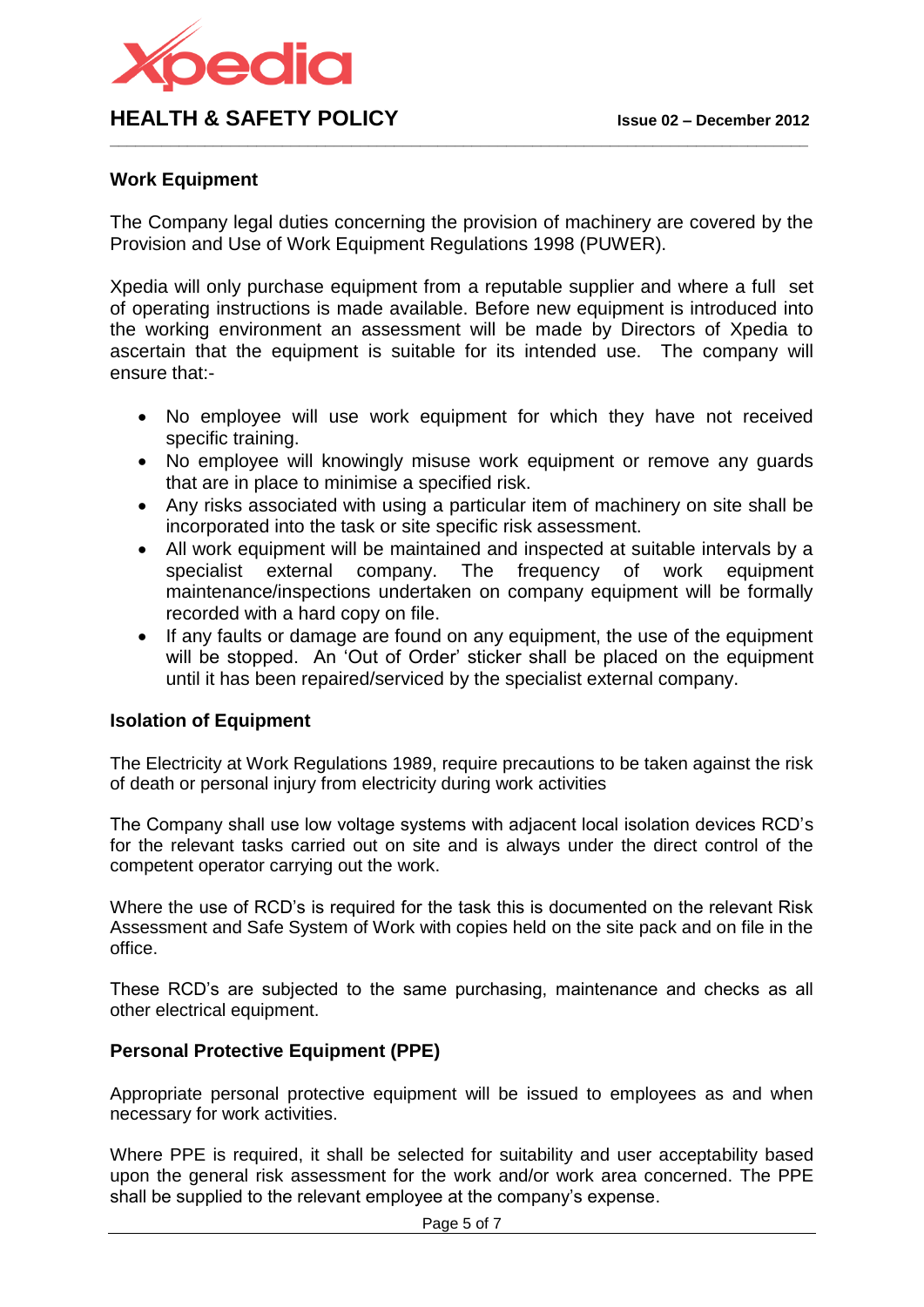

### **Work Equipment**

The Company legal duties concerning the provision of machinery are covered by the Provision and Use of Work Equipment Regulations 1998 (PUWER).

**\_\_\_\_\_\_\_\_\_\_\_\_\_\_\_\_\_\_\_\_\_\_\_\_\_\_\_\_\_\_\_\_\_\_\_\_\_\_\_\_\_\_\_\_\_\_\_\_\_\_\_\_\_\_\_\_\_\_\_\_\_\_\_\_\_\_\_\_\_\_\_\_\_\_\_\_\_\_\_\_\_**

Xpedia will only purchase equipment from a reputable supplier and where a full set of operating instructions is made available. Before new equipment is introduced into the working environment an assessment will be made by Directors of Xpedia to ascertain that the equipment is suitable for its intended use. The company will ensure that:-

- No employee will use work equipment for which they have not received specific training.
- No employee will knowingly misuse work equipment or remove any guards that are in place to minimise a specified risk.
- Any risks associated with using a particular item of machinery on site shall be incorporated into the task or site specific risk assessment.
- All work equipment will be maintained and inspected at suitable intervals by a specialist external company. The frequency of work equipment maintenance/inspections undertaken on company equipment will be formally recorded with a hard copy on file.
- If any faults or damage are found on any equipment, the use of the equipment will be stopped. An 'Out of Order' sticker shall be placed on the equipment until it has been repaired/serviced by the specialist external company.

#### **Isolation of Equipment**

The Electricity at Work Regulations 1989, require precautions to be taken against the risk of death or personal injury from electricity during work activities

The Company shall use low voltage systems with adjacent local isolation devices RCD's for the relevant tasks carried out on site and is always under the direct control of the competent operator carrying out the work.

Where the use of RCD's is required for the task this is documented on the relevant Risk Assessment and Safe System of Work with copies held on the site pack and on file in the office.

These RCD's are subjected to the same purchasing, maintenance and checks as all other electrical equipment.

# **Personal Protective Equipment (PPE)**

Appropriate personal protective equipment will be issued to employees as and when necessary for work activities.

Where PPE is required, it shall be selected for suitability and user acceptability based upon the general risk assessment for the work and/or work area concerned. The PPE shall be supplied to the relevant employee at the company's expense.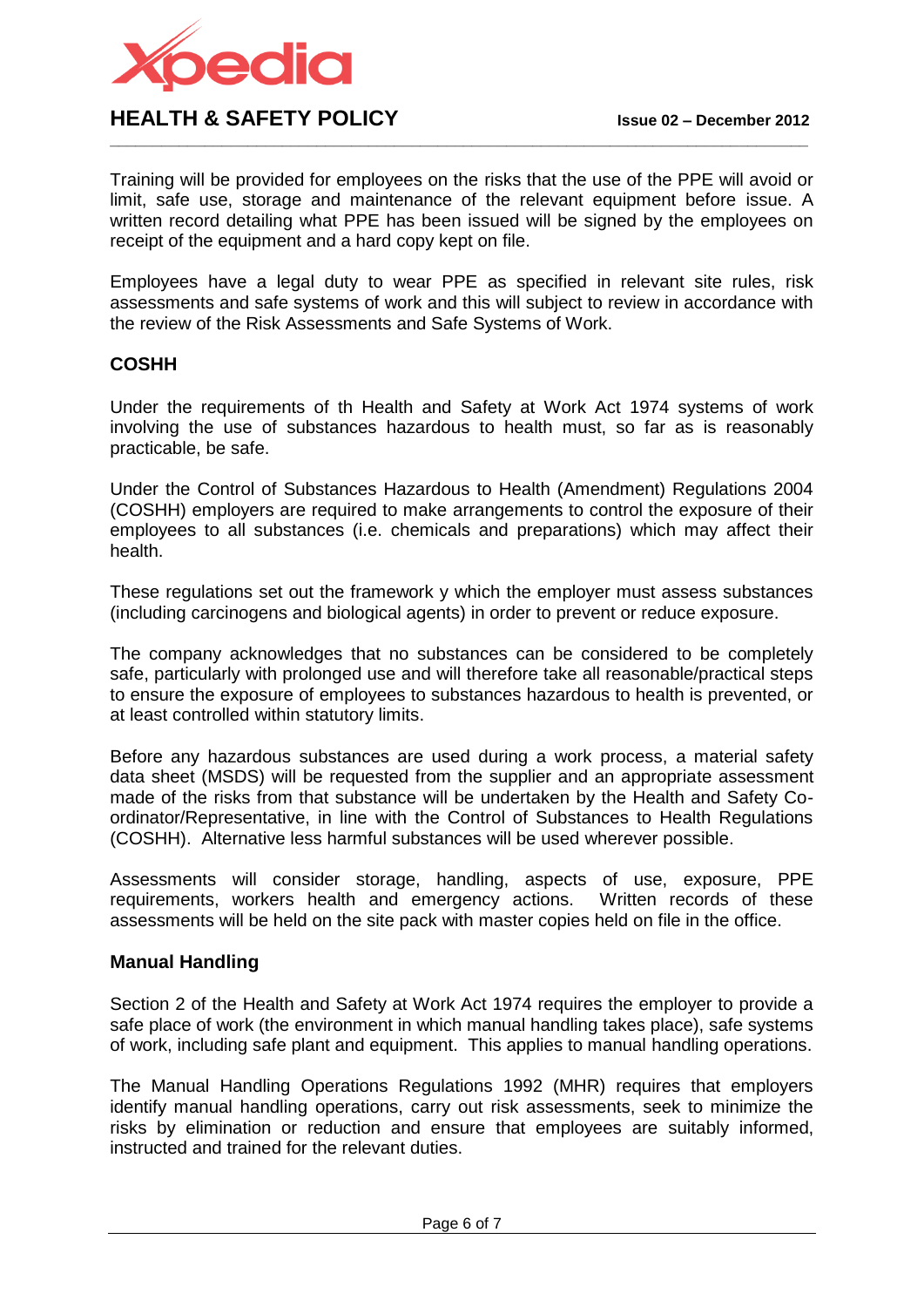

Training will be provided for employees on the risks that the use of the PPE will avoid or limit, safe use, storage and maintenance of the relevant equipment before issue. A written record detailing what PPE has been issued will be signed by the employees on receipt of the equipment and a hard copy kept on file.

**\_\_\_\_\_\_\_\_\_\_\_\_\_\_\_\_\_\_\_\_\_\_\_\_\_\_\_\_\_\_\_\_\_\_\_\_\_\_\_\_\_\_\_\_\_\_\_\_\_\_\_\_\_\_\_\_\_\_\_\_\_\_\_\_\_\_\_\_\_\_\_\_\_\_\_\_\_\_\_\_\_**

Employees have a legal duty to wear PPE as specified in relevant site rules, risk assessments and safe systems of work and this will subject to review in accordance with the review of the Risk Assessments and Safe Systems of Work.

# **COSHH**

Under the requirements of th Health and Safety at Work Act 1974 systems of work involving the use of substances hazardous to health must, so far as is reasonably practicable, be safe.

Under the Control of Substances Hazardous to Health (Amendment) Regulations 2004 (COSHH) employers are required to make arrangements to control the exposure of their employees to all substances (i.e. chemicals and preparations) which may affect their health.

These regulations set out the framework y which the employer must assess substances (including carcinogens and biological agents) in order to prevent or reduce exposure.

The company acknowledges that no substances can be considered to be completely safe, particularly with prolonged use and will therefore take all reasonable/practical steps to ensure the exposure of employees to substances hazardous to health is prevented, or at least controlled within statutory limits.

Before any hazardous substances are used during a work process, a material safety data sheet (MSDS) will be requested from the supplier and an appropriate assessment made of the risks from that substance will be undertaken by the Health and Safety Coordinator/Representative, in line with the Control of Substances to Health Regulations (COSHH). Alternative less harmful substances will be used wherever possible.

Assessments will consider storage, handling, aspects of use, exposure, PPE requirements, workers health and emergency actions. Written records of these assessments will be held on the site pack with master copies held on file in the office.

#### **Manual Handling**

Section 2 of the Health and Safety at Work Act 1974 requires the employer to provide a safe place of work (the environment in which manual handling takes place), safe systems of work, including safe plant and equipment. This applies to manual handling operations.

The Manual Handling Operations Regulations 1992 (MHR) requires that employers identify manual handling operations, carry out risk assessments, seek to minimize the risks by elimination or reduction and ensure that employees are suitably informed, instructed and trained for the relevant duties.